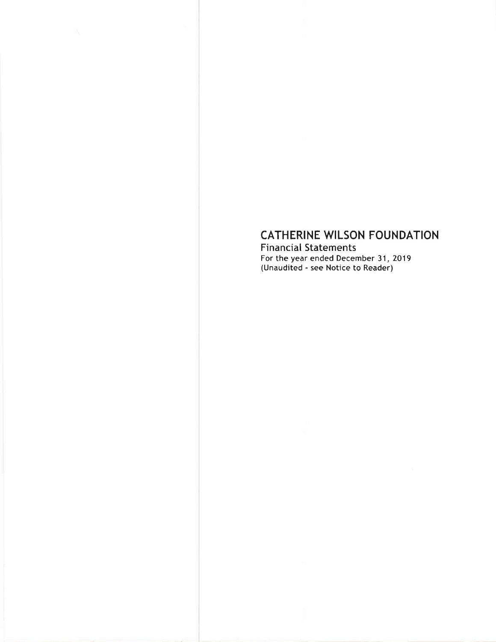# CATHERINE WILSON FOUNDATION

Financial Statements For the year ended December 31, 2019 (Unaudited - see Notice to Reader)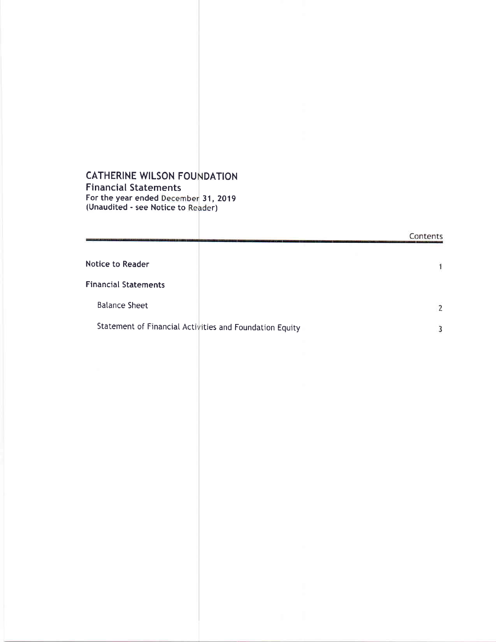#### CATHERINE WILSON FOU DATION Financial Statements

For the year ended 31, 2019 (Unaudited - see Notice to Reader)

|                                                         | Contents |
|---------------------------------------------------------|----------|
| <b>Notice to Reader</b>                                 |          |
| <b>Financial Statements</b>                             |          |
| <b>Balance Sheet</b>                                    |          |
| Statement of Financial Activities and Foundation Equity |          |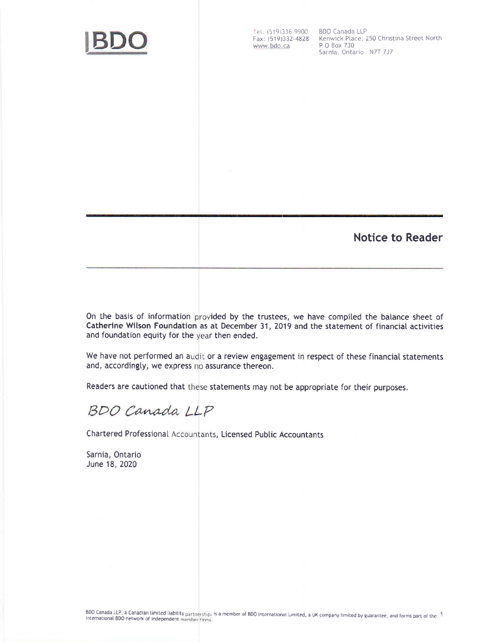

Tel: (519)336-9900 BDO Canada LLP<br>Fax: (519)332-4828 Kenwick Place, 2 www.bdo.ca

Kenwick Place, 250 Christina Street North<br>P O Box 730 Sarnia, Ontario N7T 7J7

### Notice to Reader

On the basis of information provided by the trustees, we have compiled the balance sheet of Catherine Wilson Foundation as at December 31, 2019 and the statement of financial activities and foundation equity for the year then ended.

We have not performed an audit or a review engagement in respect of these financial statements and, accordingly, we express no assurance thereon.

Readers are cautioned that these statements may not be appropriate for their purposes.

BDO Canada LLP

Chartered Professional Accountants, Licensed Public Accountants

Sarnia, Ontario June 18, 2020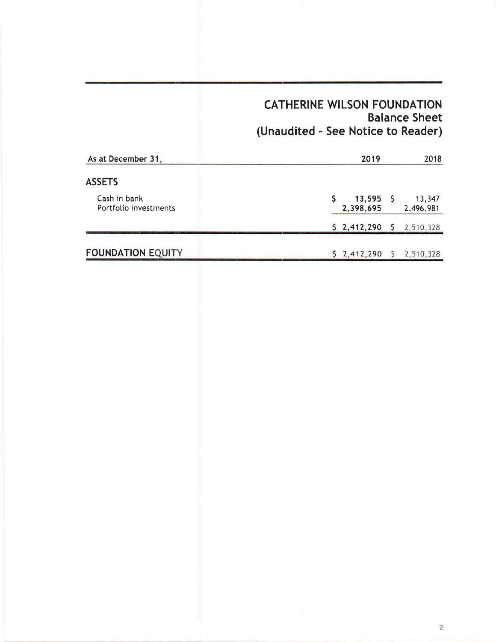## CATHERINE WILSON FOUNDATION Balance Sheet (Unaudited - See Notice to Reader)

| As at December 31,                    | 2019<br>2018                                    |
|---------------------------------------|-------------------------------------------------|
| <b>ASSETS</b>                         |                                                 |
| Cash in bank<br>Portfolio investments | $13,595$ \$<br>13,347<br>2,398,695<br>2,496,981 |
|                                       | $$2,412,290$ $$2,510,328$                       |
| <b>FOUNDATION EQUITY</b>              | $$2,412,290$ $$2,510,328$                       |
|                                       |                                                 |